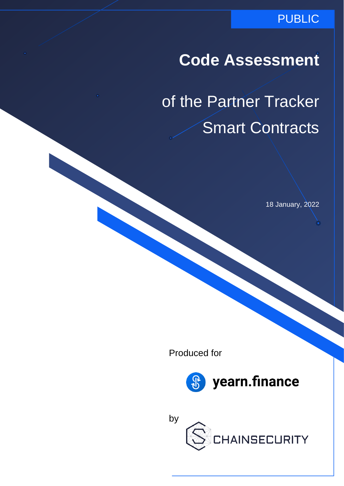### PUBLIC

## **Code Assessment**

of the Partner Tracker Smart Contracts

18 January, 2022

Produced for



yearn.finance

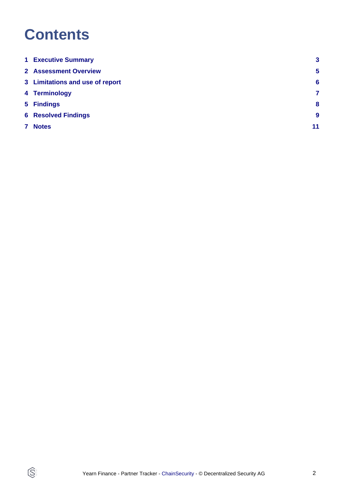## **Contents**

 $\circledS$ 

| <b>1 Executive Summary</b>      | $\mathbf{3}$     |
|---------------------------------|------------------|
| <b>2 Assessment Overview</b>    | $5\phantom{1}$   |
| 3 Limitations and use of report | 6                |
| 4 Terminology                   | $\overline{7}$   |
| 5 Findings                      | 8                |
| <b>6 Resolved Findings</b>      | $\boldsymbol{9}$ |
| 7 Notes                         | 11               |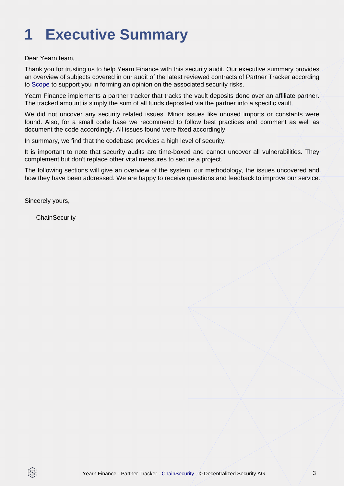# <span id="page-2-0"></span>**1 Executive Summary**

Dear Yearn team,

Thank you for trusting us to help Yearn Finance with this security audit. Our executive summary provides an overview of subjects covered in our audit of the latest reviewed contracts of Partner Tracker according to [Scope](#page-4-1) to support you in forming an opinion on the associated security risks.

Yearn Finance implements a partner tracker that tracks the vault deposits done over an affiliate partner. The tracked amount is simply the sum of all funds deposited via the partner into a specific vault.

We did not uncover any security related issues. Minor issues like unused imports or constants were found. Also, for a small code base we recommend to follow best practices and comment as well as document the code accordingly. All issues found were fixed accordingly.

In summary, we find that the codebase provides a high level of security.

It is important to note that security audits are time-boxed and cannot uncover all vulnerabilities. They complement but don't replace other vital measures to secure a project.

The following sections will give an overview of the system, our methodology, the issues uncovered and how they have been addressed. We are happy to receive questions and feedback to improve our service.

Sincerely yours,

ß

**ChainSecurity**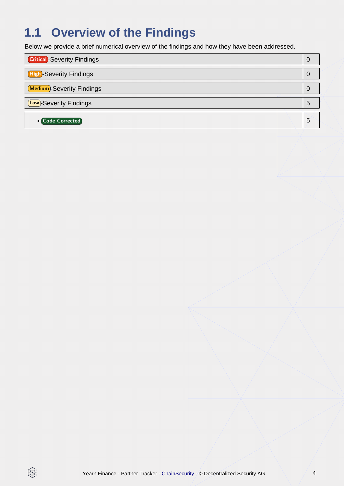## **1.1 Overview of the Findings**

Below we provide a brief numerical overview of the findings and how they have been addressed.

| <b>Critical</b> -Severity Findings | 0 |
|------------------------------------|---|
| <b>High-Severity Findings</b>      | 0 |
| Medium-Severity Findings           | O |
| <b>Low</b> -Severity Findings      | 5 |
| <b>o</b> Code Corrected            | 5 |

 $\circledS$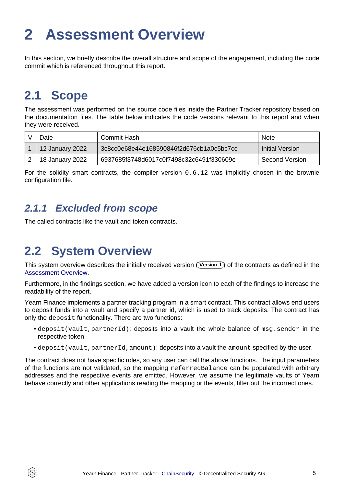## <span id="page-4-2"></span><span id="page-4-0"></span>**2 Assessment Overview**

In this section, we briefly describe the overall structure and scope of the engagement, including the code commit which is referenced throughout this report.

### <span id="page-4-1"></span>**2.1 Scope**

ĺS

The assessment was performed on the source code files inside the Partner Tracker repository based on the documentation files. The table below indicates the code versions relevant to this report and when they were received.

| Date            | Commit Hash                              | <b>Note</b>     |
|-----------------|------------------------------------------|-----------------|
| 12 January 2022 | 3c8cc0e68e44e168590846f2d676cb1a0c5bc7cc | ⊟nitial Version |
| 18 January 2022 | 6937685f3748d6017c0f7498c32c6491f330609e | Second Version  |

For the solidity smart contracts, the compiler version 0.6.12 was implicitly chosen in the brownie configuration file.

### **2.1.1 Excluded from scope**

The called contracts like the vault and token contracts.

### **2.2 System Overview**

This system overview describes the initially received version ((Version 1)) of the contracts as defined in the [Assessment Overview](#page-4-2).

Furthermore, in the findings section, we have added a version icon to each of the findings to increase the readability of the report.

Yearn Finance implements a partner tracking program in a smart contract. This contract allows end users to deposit funds into a vault and specify a partner id, which is used to track deposits. The contract has only the deposit functionality. There are two functions:

- deposit(vault, partnerId): deposits into a vault the whole balance of msg. sender in the respective token.
- deposit(vault, partnerId, amount): deposits into a vault the amount specified by the user.

The contract does not have specific roles, so any user can call the above functions. The input parameters of the functions are not validated, so the mapping referredBalance can be populated with arbitrary addresses and the respective events are emitted. However, we assume the legitimate vaults of Yearn behave correctly and other applications reading the mapping or the events, filter out the incorrect ones.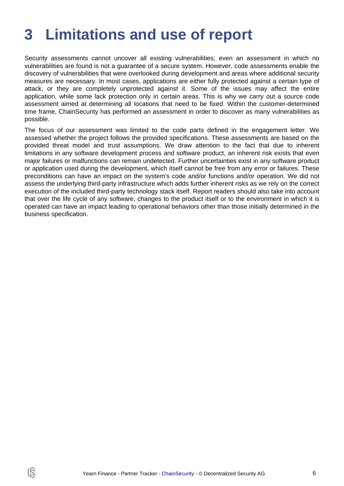## <span id="page-5-0"></span>**3 Limitations and use of report**

Security assessments cannot uncover all existing vulnerabilities; even an assessment in which no vulnerabilities are found is not a guarantee of a secure system. However, code assessments enable the discovery of vulnerabilities that were overlooked during development and areas where additional security measures are necessary. In most cases, applications are either fully protected against a certain type of attack, or they are completely unprotected against it. Some of the issues may affect the entire application, while some lack protection only in certain areas. This is why we carry out a source code assessment aimed at determining all locations that need to be fixed. Within the customer-determined time frame, ChainSecurity has performed an assessment in order to discover as many vulnerabilities as possible.

The focus of our assessment was limited to the code parts defined in the engagement letter. We assessed whether the project follows the provided specifications. These assessments are based on the provided threat model and trust assumptions. We draw attention to the fact that due to inherent limitations in any software development process and software product, an inherent risk exists that even major failures or malfunctions can remain undetected. Further uncertainties exist in any software product or application used during the development, which itself cannot be free from any error or failures. These preconditions can have an impact on the system's code and/or functions and/or operation. We did not assess the underlying third-party infrastructure which adds further inherent risks as we rely on the correct execution of the included third-party technology stack itself. Report readers should also take into account that over the life cycle of any software, changes to the product itself or to the environment in which it is operated can have an impact leading to operational behaviors other than those initially determined in the business specification.

ÍS.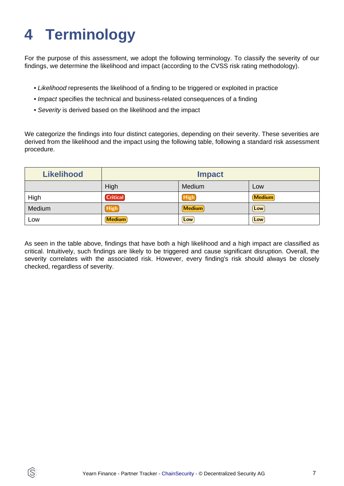# <span id="page-6-0"></span>**4 Terminology**

ÍŜ

For the purpose of this assessment, we adopt the following terminology. To classify the severity of our findings, we determine the likelihood and impact (according to the CVSS risk rating methodology).

- Likelihood represents the likelihood of a finding to be triggered or exploited in practice
- Impact specifies the technical and business-related consequences of a finding
- Severity is derived based on the likelihood and the impact

We categorize the findings into four distinct categories, depending on their severity. These severities are derived from the likelihood and the impact using the following table, following a standard risk assessment procedure.

| <b>Likelihood</b> | <b>Impact</b>   |        |               |
|-------------------|-----------------|--------|---------------|
|                   | High            | Medium | Low           |
| High              | <b>Critical</b> | High   | <b>Medium</b> |
| Medium            | (High)          | Medium | Low           |
| Low               | <b>Medium</b>   | Low    | Low           |

As seen in the table above, findings that have both a high likelihood and a high impact are classified as critical. Intuitively, such findings are likely to be triggered and cause significant disruption. Overall, the severity correlates with the associated risk. However, every finding's risk should always be closely checked, regardless of severity.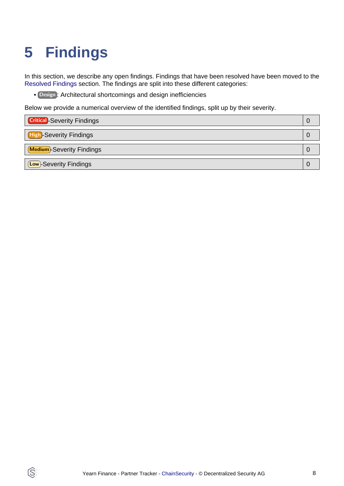# <span id="page-7-1"></span><span id="page-7-0"></span>**5 Findings**

Q

In this section, we describe any open findings. Findings that have been resolved have been moved to the [Resolved Findings](#page-8-1) section. The findings are split into these different categories:

• Design : Architectural shortcomings and design inefficiencies

Below we provide a numerical overview of the identified findings, split up by their severity.

| <b>Critical</b> -Severity Findings |  |
|------------------------------------|--|
| <b>High-Severity Findings</b>      |  |
| Medium-Severity Findings           |  |
| <b>Low</b> -Severity Findings      |  |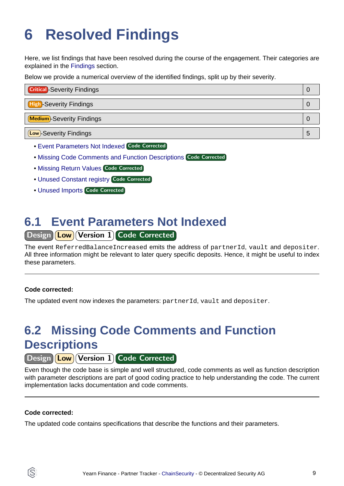# <span id="page-8-1"></span><span id="page-8-0"></span>**6 Resolved Findings**

Here, we list findings that have been resolved during the course of the engagement. Their categories are explained in the [Findings](#page-7-1) section.

Below we provide a numerical overview of the identified findings, split up by their severity.

| <b>Critical</b> -Severity Findings |   |
|------------------------------------|---|
| <b>High-Severity Findings</b>      |   |
| <b>Medium</b> -Severity Findings   |   |
| <b>Low</b> -Severity Findings      | Ð |

- [Event Parameters Not Indexed](#page-8-2) Code Corrected
- [Missing Code Comments and Function Descriptions](#page-8-3) Code Corrected
- [Missing Return Values](#page-9-0) Code Corrected
- [Unused Constant registry](#page-9-1) Code Corrected
- [Unused Imports](#page-9-2) Code Corrected

### <span id="page-8-2"></span>**6.1 Event Parameters Not Indexed**

### Design **Low** Version 1 Code Corrected

The event ReferredBalanceIncreased emits the address of partnerId, vault and depositer. All three information might be relevant to later query specific deposits. Hence, it might be useful to index these parameters.

#### **Code corrected:**

The updated event now indexes the parameters: partnerId, vault and depositer.

### <span id="page-8-3"></span>**6.2 Missing Code Comments and Function Descriptions**

Design **Low** Version 1 Code Corrected

Even though the code base is simple and well structured, code comments as well as function description with parameter descriptions are part of good coding practice to help understanding the code. The current implementation lacks documentation and code comments.

#### **Code corrected:**

ÍŜ

The updated code contains specifications that describe the functions and their parameters.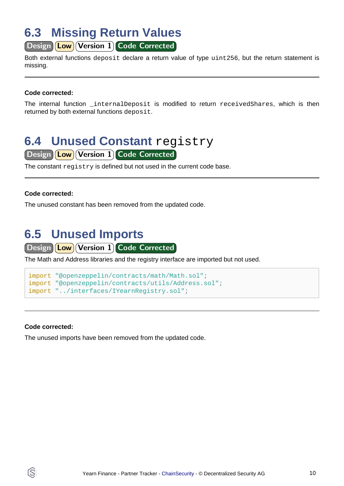### <span id="page-9-0"></span>**6.3 Missing Return Values**

Design **Low** Version 1 Code Corrected

Both external functions deposit declare a return value of type uint256, but the return statement is missing.

#### **Code corrected:**

The internal function internalDeposit is modified to return receivedShares, which is then returned by both external functions deposit.

### <span id="page-9-1"></span>**6.4 Unused Constant registry**

Design **Low** Version 1 Code Corrected

The constant registry is defined but not used in the current code base.

#### **Code corrected:**

The unused constant has been removed from the updated code.

### <span id="page-9-2"></span>**6.5 Unused Imports**

Design **Low** Version 1 Code Corrected

The Math and Address libraries and the registry interface are imported but not used.

```
import "@openzeppelin/contracts/math/Math.sol";
import "@openzeppelin/contracts/utils/Address.sol";
import "../interfaces/IYearnRegistry.sol";
```
#### **Code corrected:**

S

The unused imports have been removed from the updated code.